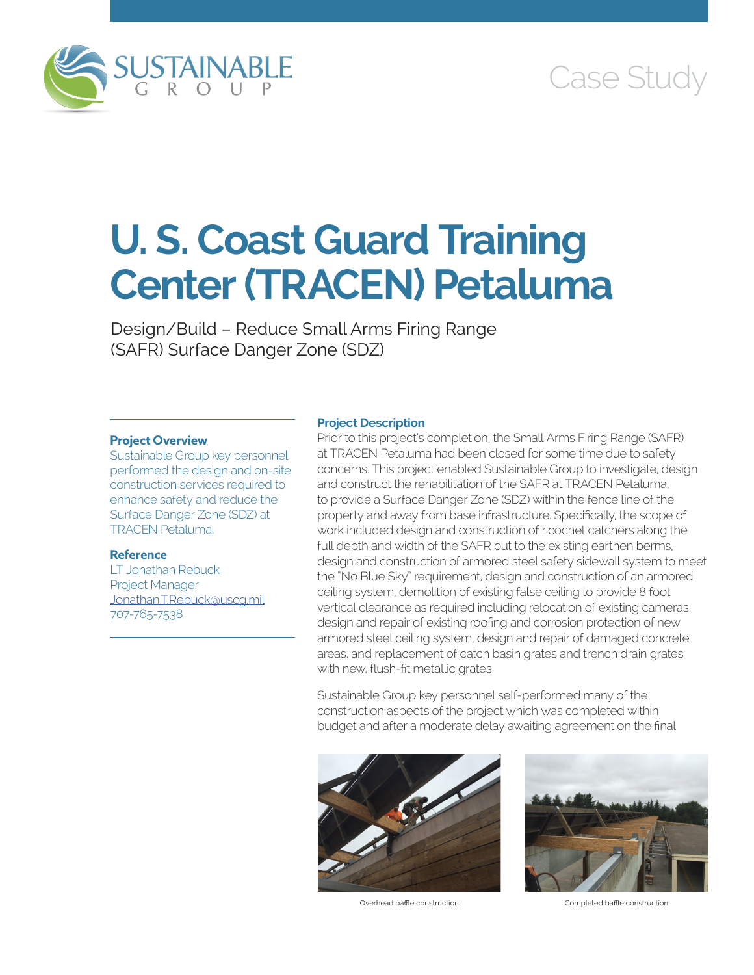

# Case Study

# **U. S. Coast Guard Training Center (TRACEN) Petaluma**

Design/Build – Reduce Small Arms Firing Range (SAFR) Surface Danger Zone (SDZ)

#### **Project Overview**

Sustainable Group key personnel performed the design and on-site construction services required to enhance safety and reduce the Surface Danger Zone (SDZ) at TRACEN Petaluma.

## **Reference**

LT Jonathan Rebuck Project Manager [Jonathan.T.Rebuck@uscg.mil](mailto:Jonathan.T.Rebuck@uscg.mil) 707-765-7538

#### **Project Description**

Prior to this project's completion, the Small Arms Firing Range (SAFR) at TRACEN Petaluma had been closed for some time due to safety concerns. This project enabled Sustainable Group to investigate, design and construct the rehabilitation of the SAFR at TRACEN Petaluma, to provide a Surface Danger Zone (SDZ) within the fence line of the property and away from base infrastructure. Specifically, the scope of work included design and construction of ricochet catchers along the full depth and width of the SAFR out to the existing earthen berms, design and construction of armored steel safety sidewall system to meet the "No Blue Sky" requirement, design and construction of an armored ceiling system, demolition of existing false ceiling to provide 8 foot vertical clearance as required including relocation of existing cameras, design and repair of existing roofing and corrosion protection of new armored steel ceiling system, design and repair of damaged concrete areas, and replacement of catch basin grates and trench drain grates with new, flush-fit metallic grates.

Sustainable Group key personnel self-performed many of the construction aspects of the project which was completed within budget and after a moderate delay awaiting agreement on the final



Overhead baffle construction Completed baffle construction